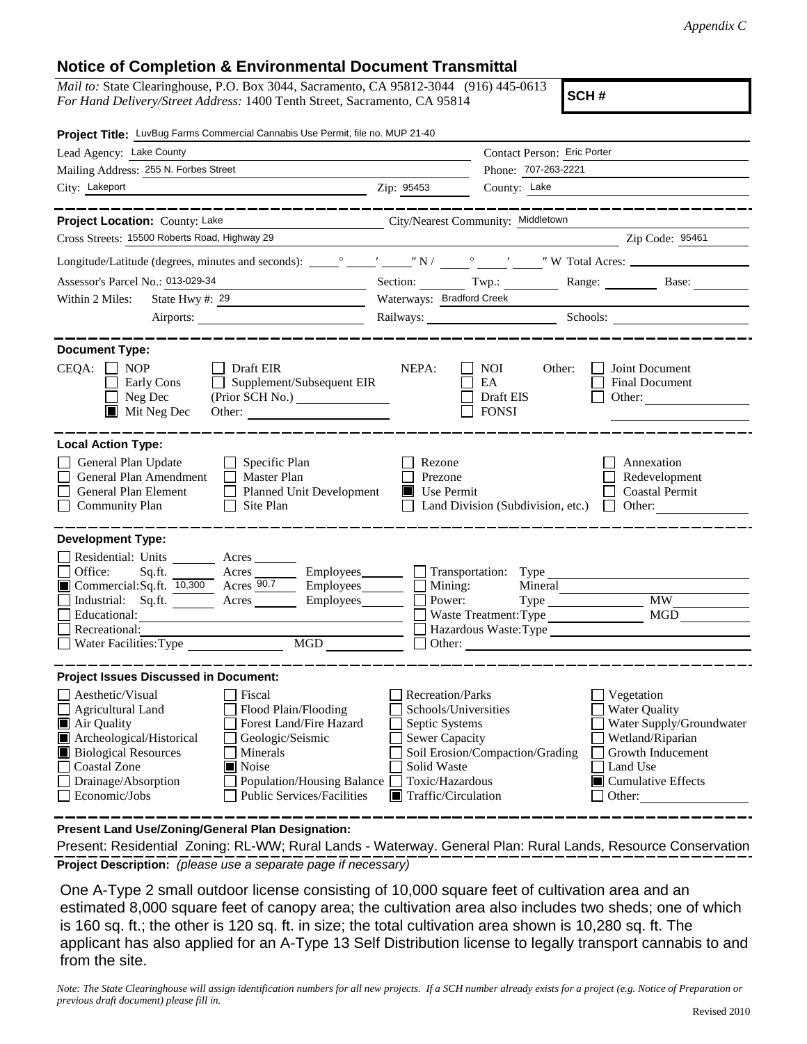## **Notice of Completion & Environmental Document Transmittal**

*Mail to:* State Clearinghouse, P.O. Box 3044, Sacramento, CA 95812-3044 (916) 445-0613 *For Hand Delivery/Street Address:* 1400 Tenth Street, Sacramento, CA 95814

**SCH #**

| Project Title: LuvBug Farms Commercial Cannabis Use Permit, file no. MUP 21-40                                                                                                                                                                                                                                                                                          |                                                                                                                                                     |                                                  |                                                                                                                                                     |
|-------------------------------------------------------------------------------------------------------------------------------------------------------------------------------------------------------------------------------------------------------------------------------------------------------------------------------------------------------------------------|-----------------------------------------------------------------------------------------------------------------------------------------------------|--------------------------------------------------|-----------------------------------------------------------------------------------------------------------------------------------------------------|
| Lead Agency: Lake County                                                                                                                                                                                                                                                                                                                                                | Contact Person: Eric Porter                                                                                                                         |                                                  |                                                                                                                                                     |
| Mailing Address: 255 N. Forbes Street                                                                                                                                                                                                                                                                                                                                   | Phone: 707-263-2221                                                                                                                                 |                                                  |                                                                                                                                                     |
| City: Lakeport                                                                                                                                                                                                                                                                                                                                                          | Zip: 95453                                                                                                                                          | County: Lake                                     |                                                                                                                                                     |
|                                                                                                                                                                                                                                                                                                                                                                         |                                                                                                                                                     |                                                  |                                                                                                                                                     |
| Project Location: County: Lake<br>City/Nearest Community: Middletown                                                                                                                                                                                                                                                                                                    |                                                                                                                                                     |                                                  |                                                                                                                                                     |
| Cross Streets: 15500 Roberts Road, Highway 29                                                                                                                                                                                                                                                                                                                           |                                                                                                                                                     |                                                  | Zip Code: 95461                                                                                                                                     |
|                                                                                                                                                                                                                                                                                                                                                                         |                                                                                                                                                     |                                                  |                                                                                                                                                     |
| Assessor's Parcel No.: 013-029-34<br><u> 1989 - Johann Barbara, martin a</u>                                                                                                                                                                                                                                                                                            | Section: Twp.:                                                                                                                                      |                                                  | Range: Base:                                                                                                                                        |
| State Hwy #: 29<br>Within 2 Miles:                                                                                                                                                                                                                                                                                                                                      | Waterways: Bradford Creek                                                                                                                           |                                                  |                                                                                                                                                     |
|                                                                                                                                                                                                                                                                                                                                                                         | Railways: Schools: Schools:                                                                                                                         |                                                  |                                                                                                                                                     |
|                                                                                                                                                                                                                                                                                                                                                                         |                                                                                                                                                     |                                                  |                                                                                                                                                     |
| <b>Document Type:</b><br>CEQA:<br>$\Box$ NOP<br>$\Box$ Draft EIR<br>Supplement/Subsequent EIR<br>Early Cons<br>$\Box$ Neg Dec<br>$\blacksquare$ Mit Neg Dec                                                                                                                                                                                                             | NEPA:                                                                                                                                               | NOI<br>Other:<br>EA<br>Draft EIS<br><b>FONSI</b> | Joint Document<br>Final Document<br>Other:                                                                                                          |
| <b>Local Action Type:</b>                                                                                                                                                                                                                                                                                                                                               |                                                                                                                                                     |                                                  |                                                                                                                                                     |
| General Plan Update<br>$\Box$ Specific Plan<br>General Plan Amendment<br>$\Box$ Master Plan<br><b>General Plan Element</b><br><b>Planned Unit Development</b><br>$\Box$ Community Plan<br>Site Plan                                                                                                                                                                     | Rezone<br>Prezone<br>$\blacksquare$ Use Permit                                                                                                      | Land Division (Subdivision, etc.)                | Annexation<br>Redevelopment<br><b>Coastal Permit</b><br>$\Box$ Other:                                                                               |
| <b>Development Type:</b><br>Residential: Units Acres<br>Office:<br>Acres Employees Transportation: Type<br>Sq.ft.<br>Commercial:Sq.ft. 10,300 Acres 90.7<br>Industrial: Sq.ft. <u>Acres</u> Acres Employees<br>Educational:<br>Recreational:<br>MGD<br>Water Facilities: Type                                                                                           | $\Box$ Employees $\Box$ Mining:<br>Power:                                                                                                           | Mineral<br>Waste Treatment: Type                 | <b>MW</b><br><b>MGD</b><br>Hazardous Waste: Type                                                                                                    |
| <b>Project Issues Discussed in Document:</b>                                                                                                                                                                                                                                                                                                                            |                                                                                                                                                     |                                                  |                                                                                                                                                     |
| Aesthetic/Visual<br>Fiscal<br>$\Box$ Agricultural Land<br>Flood Plain/Flooding<br>Forest Land/Fire Hazard<br>Air Quality<br>Archeological/Historical<br>Geologic/Seismic<br><b>Biological Resources</b><br>Minerals<br><b>Coastal Zone</b><br><b>■</b> Noise<br>Drainage/Absorption<br>Population/Housing Balance<br>Economic/Jobs<br><b>Public Services/Facilities</b> | <b>Recreation/Parks</b><br>Schools/Universities<br>Septic Systems<br><b>Sewer Capacity</b><br>Solid Waste<br>Toxic/Hazardous<br>Traffic/Circulation | Soil Erosion/Compaction/Grading                  | Vegetation<br><b>Water Quality</b><br>Water Supply/Groundwater<br>Wetland/Riparian<br>Growth Inducement<br>Land Use<br>Cumulative Effects<br>Other: |

**Present Land Use/Zoning/General Plan Designation:**

**Project Description:** *(please use a separate page if necessary)* Present: Residential Zoning: RL-WW; Rural Lands - Waterway. General Plan: Rural Lands, Resource Conservation

 One A-Type 2 small outdoor license consisting of 10,000 square feet of cultivation area and an estimated 8,000 square feet of canopy area; the cultivation area also includes two sheds; one of which is 160 sq. ft.; the other is 120 sq. ft. in size; the total cultivation area shown is 10,280 sq. ft. The applicant has also applied for an A-Type 13 Self Distribution license to legally transport cannabis to and from the site.

*Note: The State Clearinghouse will assign identification numbers for all new projects. If a SCH number already exists for a project (e.g. Notice of Preparation or previous draft document) please fill in.*